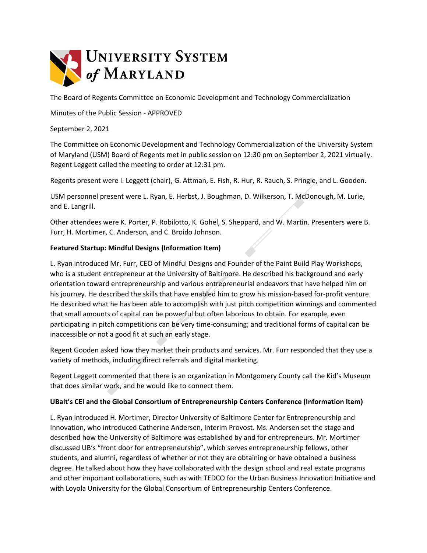

The Board of Regents Committee on Economic Development and Technology Commercialization

Minutes of the Public Session - APPROVED

September 2, 2021

The Committee on Economic Development and Technology Commercialization of the University System of Maryland (USM) Board of Regents met in public session on 12:30 pm on September 2, 2021 virtually. Regent Leggett called the meeting to order at 12:31 pm.

Regents present were I. Leggett (chair), G. Attman, E. Fish, R. Hur, R. Rauch, S. Pringle, and L. Gooden.

USM personnel present were L. Ryan, E. Herbst, J. Boughman, D. Wilkerson, T. McDonough, M. Lurie, and E. Langrill.

Other attendees were K. Porter, P. Robilotto, K. Gohel, S. Sheppard, and W. Martin. Presenters were B. Furr, H. Mortimer, C. Anderson, and C. Broido Johnson.

### **Featured Startup: Mindful Designs (Information Item)**

L. Ryan introduced Mr. Furr, CEO of Mindful Designs and Founder of the Paint Build Play Workshops, who is a student entrepreneur at the University of Baltimore. He described his background and early orientation toward entrepreneurship and various entrepreneurial endeavors that have helped him on his journey. He described the skills that have enabled him to grow his mission-based for-profit venture. He described what he has been able to accomplish with just pitch competition winnings and commented that small amounts of capital can be powerful but often laborious to obtain. For example, even participating in pitch competitions can be very time-consuming; and traditional forms of capital can be inaccessible or not a good fit at such an early stage.

Regent Gooden asked how they market their products and services. Mr. Furr responded that they use a variety of methods, including direct referrals and digital marketing.

Regent Leggett commented that there is an organization in Montgomery County call the Kid's Museum that does similar work, and he would like to connect them.

### **UBalt's CEI and the Global Consortium of Entrepreneurship Centers Conference (Information Item)**

L. Ryan introduced H. Mortimer, Director University of Baltimore Center for Entrepreneurship and Innovation, who introduced Catherine Andersen, Interim Provost. Ms. Andersen set the stage and described how the University of Baltimore was established by and for entrepreneurs. Mr*.* Mortimer discussed UB's "front door for entrepreneurship", which serves entrepreneurship fellows, other students, and alumni, regardless of whether or not they are obtaining or have obtained a business degree. He talked about how they have collaborated with the design school and real estate programs and other important collaborations, such as with TEDCO for the Urban Business Innovation Initiative and with Loyola University for the Global Consortium of Entrepreneurship Centers Conference.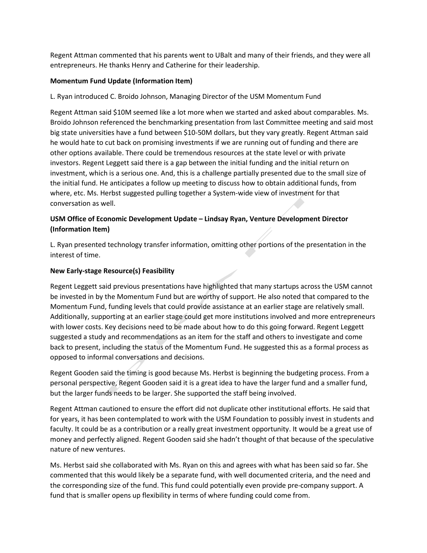Regent Attman commented that his parents went to UBalt and many of their friends, and they were all entrepreneurs. He thanks Henry and Catherine for their leadership.

## **Momentum Fund Update (Information Item)**

L. Ryan introduced C. Broido Johnson, Managing Director of the USM Momentum Fund

Regent Attman said \$10M seemed like a lot more when we started and asked about comparables. Ms. Broido Johnson referenced the benchmarking presentation from last Committee meeting and said most big state universities have a fund between \$10-50M dollars, but they vary greatly. Regent Attman said he would hate to cut back on promising investments if we are running out of funding and there are other options available. There could be tremendous resources at the state level or with private investors. Regent Leggett said there is a gap between the initial funding and the initial return on investment, which is a serious one. And, this is a challenge partially presented due to the small size of the initial fund. He anticipates a follow up meeting to discuss how to obtain additional funds, from where, etc. Ms. Herbst suggested pulling together a System-wide view of investment for that conversation as well.

# **USM Office of Economic Development Update – Lindsay Ryan, Venture Development Director (Information Item)**

L. Ryan presented technology transfer information, omitting other portions of the presentation in the interest of time.

### **New Early-stage Resource(s) Feasibility**

Regent Leggett said previous presentations have highlighted that many startups across the USM cannot be invested in by the Momentum Fund but are worthy of support. He also noted that compared to the Momentum Fund, funding levels that could provide assistance at an earlier stage are relatively small. Additionally, supporting at an earlier stage could get more institutions involved and more entrepreneurs with lower costs. Key decisions need to be made about how to do this going forward. Regent Leggett suggested a study and recommendations as an item for the staff and others to investigate and come back to present, including the status of the Momentum Fund. He suggested this as a formal process as opposed to informal conversations and decisions.

Regent Gooden said the timing is good because Ms. Herbst is beginning the budgeting process. From a personal perspective, Regent Gooden said it is a great idea to have the larger fund and a smaller fund, but the larger funds needs to be larger. She supported the staff being involved.

Regent Attman cautioned to ensure the effort did not duplicate other institutional efforts. He said that for years, it has been contemplated to work with the USM Foundation to possibly invest in students and faculty. It could be as a contribution or a really great investment opportunity. It would be a great use of money and perfectly aligned. Regent Gooden said she hadn't thought of that because of the speculative nature of new ventures.

Ms. Herbst said she collaborated with Ms. Ryan on this and agrees with what has been said so far. She commented that this would likely be a separate fund, with well documented criteria, and the need and the corresponding size of the fund. This fund could potentially even provide pre-company support. A fund that is smaller opens up flexibility in terms of where funding could come from.